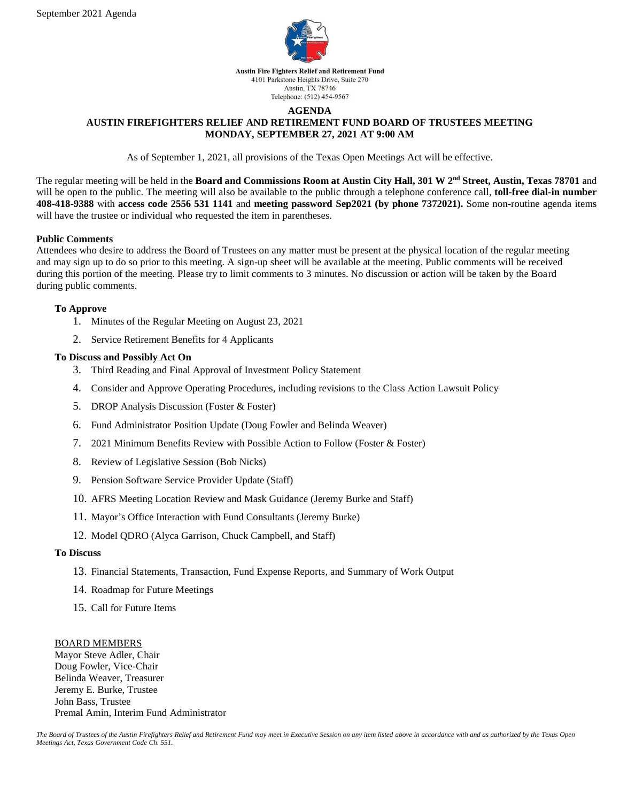

## **AGENDA**

# **AUSTIN FIREFIGHTERS RELIEF AND RETIREMENT FUND BOARD OF TRUSTEES MEETING MONDAY, SEPTEMBER 27, 2021 AT 9:00 AM**

As of September 1, 2021, all provisions of the Texas Open Meetings Act will be effective.

The regular meeting will be held in the **Board and Commissions Room at Austin City Hall, 301 W 2nd Street, Austin, Texas 78701** and will be open to the public. The meeting will also be available to the public through a telephone conference call, **toll-free dial-in number 408-418-9388** with **access code 2556 531 1141** and **meeting password Sep2021 (by phone 7372021).** Some non-routine agenda items will have the trustee or individual who requested the item in parentheses.

### **Public Comments**

Attendees who desire to address the Board of Trustees on any matter must be present at the physical location of the regular meeting and may sign up to do so prior to this meeting. A sign-up sheet will be available at the meeting. Public comments will be received during this portion of the meeting. Please try to limit comments to 3 minutes. No discussion or action will be taken by the Board during public comments.

### **To Approve**

- 1. Minutes of the Regular Meeting on August 23, 2021
- 2. Service Retirement Benefits for 4 Applicants

### **To Discuss and Possibly Act On**

- 3. Third Reading and Final Approval of Investment Policy Statement
- 4. Consider and Approve Operating Procedures, including revisions to the Class Action Lawsuit Policy
- 5. DROP Analysis Discussion (Foster & Foster)
- 6. Fund Administrator Position Update (Doug Fowler and Belinda Weaver)
- 7. 2021 Minimum Benefits Review with Possible Action to Follow (Foster & Foster)
- 8. Review of Legislative Session (Bob Nicks)
- 9. Pension Software Service Provider Update (Staff)
- 10. AFRS Meeting Location Review and Mask Guidance (Jeremy Burke and Staff)
- 11. Mayor's Office Interaction with Fund Consultants (Jeremy Burke)
- 12. Model QDRO (Alyca Garrison, Chuck Campbell, and Staff)

### **To Discuss**

- 13. Financial Statements, Transaction, Fund Expense Reports, and Summary of Work Output
- 14. Roadmap for Future Meetings
- 15. Call for Future Items

### BOARD MEMBERS

Mayor Steve Adler, Chair Doug Fowler, Vice-Chair Belinda Weaver, Treasurer Jeremy E. Burke, Trustee John Bass, Trustee Premal Amin, Interim Fund Administrator

*The Board of Trustees of the Austin Firefighters Relief and Retirement Fund may meet in Executive Session on any item listed above in accordance with and as authorized by the Texas Open Meetings Act, Texas Government Code Ch. 551.*